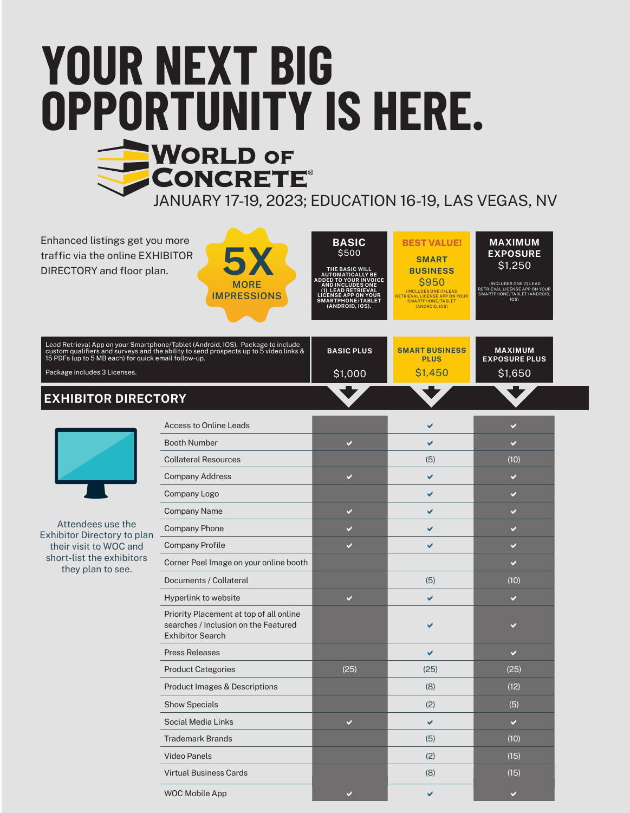# **YOUR NEXT BIG OPPORTUNITY IS HERE. NORLD OF** CONCRETE® JANUARY 17-19, 2023; EDUCATION 16-19, LAS VEGAS, NV

Enhanced listings get you more traffic via the online EXHIBITOR DIRECTORY and floor plan.





**SMART BUSINESS** \$950 (INCLUDES ONE (1) LEAD RETRIEVAL LICENSE APP ON YOUR SMARTPHONE/TABLET (ANDROID, IOS) **BEST VALUE!**

**MAXIMUM EXPOSURE** \$1,250 (INCLUDES ONE (1) LEAD RETRIEVAL LICENSE APP ON YOUR SMARTPHONE/TABLET (ANDROID, IOS)

| <b>EXHIBITOR DIRECTORY</b>                                                                                                                                                                                                                   |                   |                                      |                                        |  |
|----------------------------------------------------------------------------------------------------------------------------------------------------------------------------------------------------------------------------------------------|-------------------|--------------------------------------|----------------------------------------|--|
| Package includes 3 Licenses.                                                                                                                                                                                                                 | \$1,000           | S <sub>1.450</sub>                   | \$1,650                                |  |
| Lead Retrieval App on your Smartphone/Tablet (Android, IOS). Package to include<br>] custom qualifiers and surveys and the ability to send prospects up to 5 video links & $\,$ $\,$<br>15 PDFs (up to 5 MB each) for quick email follow-up. | <b>BASIC PLUS</b> | <b>SMART BUSINESS</b><br><b>PLUS</b> | <b>MAXIMUM</b><br><b>EXPOSURE PLUS</b> |  |



Attendees use the Exhibitor Directory to plan their visit to WOC and short-list the exhibitors they plan to see.

| <b>Access to Online Leads</b>                                                                              |                       |      | $\checkmark$ |
|------------------------------------------------------------------------------------------------------------|-----------------------|------|--------------|
| <b>Booth Number</b>                                                                                        | V                     | ✔    | V            |
| <b>Collateral Resources</b>                                                                                |                       | (5)  | (10)         |
| <b>Company Address</b>                                                                                     | V                     | ✔    | V            |
| Company Logo                                                                                               |                       | ✔    | V            |
| Company Name                                                                                               | ✔                     | ✔    | V            |
| <b>Company Phone</b>                                                                                       | $\blacktriangleright$ | ✔    | V            |
| <b>Company Profile</b>                                                                                     | V                     | ✔    | V            |
| Corner Peel Image on your online booth                                                                     |                       |      | V            |
| Documents / Collateral                                                                                     |                       | (5)  | (10)         |
| Hyperlink to website                                                                                       | $\checkmark$          | ✔    | V            |
| Priority Placement at top of all online<br>searches / Inclusion on the Featured<br><b>Exhibitor Search</b> |                       |      |              |
| <b>Press Releases</b>                                                                                      |                       | ✔    | ✔            |
| <b>Product Categories</b>                                                                                  | (25)                  | (25) | (25)         |
| <b>Product Images &amp; Descriptions</b>                                                                   |                       | (8)  | (12)         |
| <b>Show Specials</b>                                                                                       |                       | (2)  | (5)          |
| Social Media Links                                                                                         | V                     | ✔    | $\checkmark$ |
| <b>Trademark Brands</b>                                                                                    |                       | (5)  | (10)         |
| <b>Video Panels</b>                                                                                        |                       | (2)  | (15)         |
| <b>Virtual Business Cards</b>                                                                              |                       | (8)  | (15)         |
| <b>WOC Mobile App</b>                                                                                      |                       | ✔    | V            |
|                                                                                                            |                       |      |              |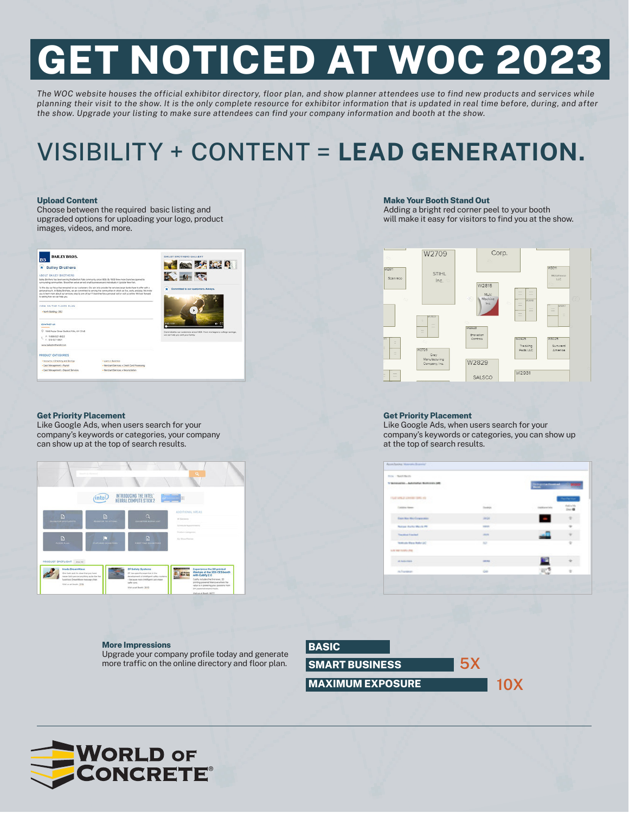# **GET NOTICED AT WOC 2023**

*The WOC website houses the official exhibitor directory, floor plan, and show planner attendees use to find new products and services while planning their visit to the show. It is the only complete resource for exhibitor information that is updated in real time before, during, and after the show. Upgrade your listing to make sure attendees can find your company information and booth at the show.*

# VISIBILITY + CONTENT = **LEAD GENERATION.**

#### **Upload Content**

Choose between the required basic listing and upgraded options for uploading your logo, product images, videos, and more.



#### **Get Priority Placement**

Like Google Ads, when users search for your company's keywords or categories, your company can show up at the top of search results.



#### **More Impressions**

Upgrade your company profile today and generate more traffic on the online directory and floor plan.

#### **Make Your Booth Stand Out**

Adding a bright red corner peel to your booth will make it easy for visitors to find you at the show.



#### **Get Priority Placement**

Like Google Ads, when users search for your company's keywords or categories, you can show up at the top of search results.

| <b>Mary Cheese Render</b>                                         |                                                                                                |                                 |                     |
|-------------------------------------------------------------------|------------------------------------------------------------------------------------------------|---------------------------------|---------------------|
| VANDALISE ARRESTS BUSINESS OR<br>가 어려워서 사건 한 사람이 있는 사람이           |                                                                                                | <b>Silverster Freedom!</b>      |                     |
| CAND APPEAR A ROOM IN SIDE 1972<br>and an information of the same |                                                                                                |                                 | <b>Service Star</b> |
| Californ Alexand                                                  | <b>A REAL PROP</b><br><b>Service</b>                                                           | <b><i>CASTER MODEL CAST</i></b> |                     |
| <b>Garden Wellengerson</b>                                        | <b>SHOP</b>                                                                                    | ł                               |                     |
| <b>Technic Profits Warris PR</b>                                  | $\frac{1}{2} \left( \frac{1}{2} \right) \left( \frac{1}{2} \right) \left( \frac{1}{2} \right)$ |                                 |                     |
| Transitional Concession                                           | <b>CALLES</b>                                                                                  |                                 |                     |
| <b>Technologie (Starra Moder) (AC)</b>                            | <b>HO</b>                                                                                      |                                 | ٠                   |
| <b>WE'RE THE LES</b>                                              |                                                                                                |                                 |                     |
| Al Librarie                                                       | <b>LETTER</b><br>e.                                                                            |                                 |                     |
| <b>Aftereran</b>                                                  | G0                                                                                             | 413                             |                     |



**5X**

**MAXIMUM EXPOSURE**

**10X**